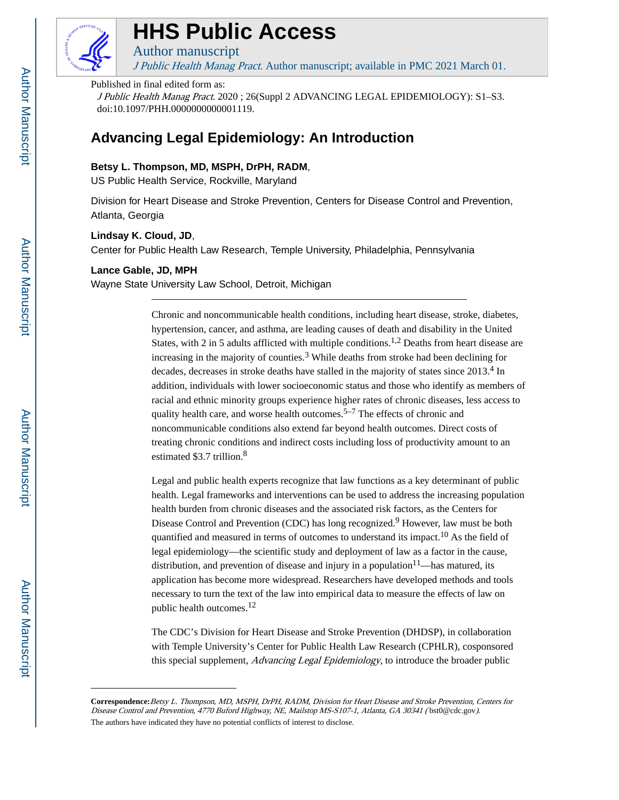

# **HHS Public Access**

J Public Health Manag Pract. Author manuscript; available in PMC 2021 March 01.

#### Published in final edited form as:

J Public Health Manag Pract. 2020 ; 26(Suppl 2 ADVANCING LEGAL EPIDEMIOLOGY): S1–S3. doi:10.1097/PHH.0000000000001119.

# **Advancing Legal Epidemiology: An Introduction**

## **Betsy L. Thompson, MD, MSPH, DrPH, RADM**,

US Public Health Service, Rockville, Maryland

Author manuscript

Division for Heart Disease and Stroke Prevention, Centers for Disease Control and Prevention, Atlanta, Georgia

#### **Lindsay K. Cloud, JD**,

Center for Public Health Law Research, Temple University, Philadelphia, Pennsylvania

#### **Lance Gable, JD, MPH**

Wayne State University Law School, Detroit, Michigan

Chronic and noncommunicable health conditions, including heart disease, stroke, diabetes, hypertension, cancer, and asthma, are leading causes of death and disability in the United States, with 2 in 5 adults afflicted with multiple conditions.<sup>1,2</sup> Deaths from heart disease are increasing in the majority of counties.<sup>3</sup> While deaths from stroke had been declining for decades, decreases in stroke deaths have stalled in the majority of states since 2013.<sup>4</sup> In addition, individuals with lower socioeconomic status and those who identify as members of racial and ethnic minority groups experience higher rates of chronic diseases, less access to quality health care, and worse health outcomes.<sup>5–7</sup> The effects of chronic and noncommunicable conditions also extend far beyond health outcomes. Direct costs of treating chronic conditions and indirect costs including loss of productivity amount to an estimated \$3.7 trillion.<sup>8</sup>

Legal and public health experts recognize that law functions as a key determinant of public health. Legal frameworks and interventions can be used to address the increasing population health burden from chronic diseases and the associated risk factors, as the Centers for Disease Control and Prevention (CDC) has long recognized.<sup>9</sup> However, law must be both quantified and measured in terms of outcomes to understand its impact.<sup>10</sup> As the field of legal epidemiology—the scientific study and deployment of law as a factor in the cause, distribution, and prevention of disease and injury in a population<sup>11</sup>—has matured, its application has become more widespread. Researchers have developed methods and tools necessary to turn the text of the law into empirical data to measure the effects of law on public health outcomes.<sup>12</sup>

The CDC's Division for Heart Disease and Stroke Prevention (DHDSP), in collaboration with Temple University's Center for Public Health Law Research (CPHLR), cosponsored this special supplement, Advancing Legal Epidemiology, to introduce the broader public

**Correspondence:**Betsy L. Thompson, MD, MSPH, DrPH, RADM, Division for Heart Disease and Stroke Prevention, Centers for Disease Control and Prevention, 4770 Buford Highway, NE, Mailstop MS-S107-1, Atlanta, GA 30341 ( bst0@cdc.gov). The authors have indicated they have no potential conflicts of interest to disclose.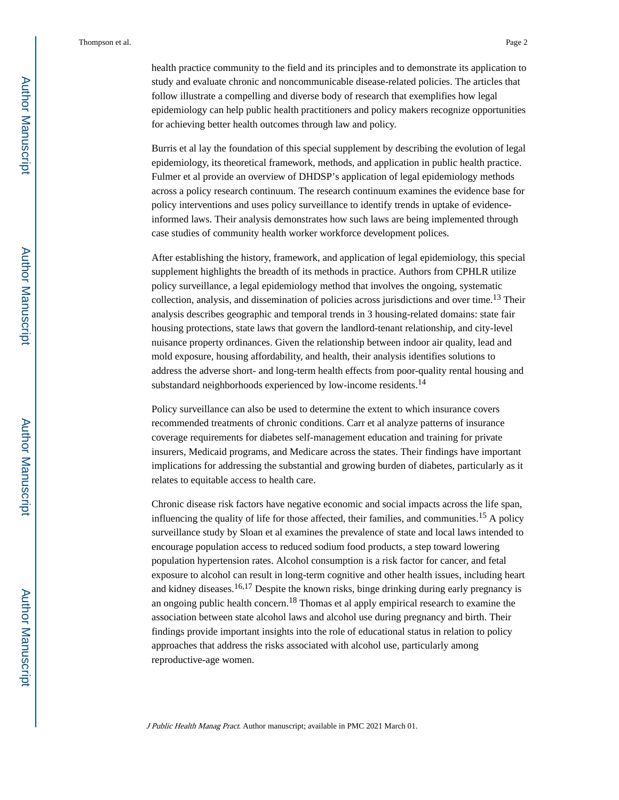health practice community to the field and its principles and to demonstrate its application to study and evaluate chronic and noncommunicable disease-related policies. The articles that follow illustrate a compelling and diverse body of research that exemplifies how legal epidemiology can help public health practitioners and policy makers recognize opportunities for achieving better health outcomes through law and policy.

Burris et al lay the foundation of this special supplement by describing the evolution of legal epidemiology, its theoretical framework, methods, and application in public health practice. Fulmer et al provide an overview of DHDSP's application of legal epidemiology methods across a policy research continuum. The research continuum examines the evidence base for policy interventions and uses policy surveillance to identify trends in uptake of evidenceinformed laws. Their analysis demonstrates how such laws are being implemented through case studies of community health worker workforce development polices.

After establishing the history, framework, and application of legal epidemiology, this special supplement highlights the breadth of its methods in practice. Authors from CPHLR utilize policy surveillance, a legal epidemiology method that involves the ongoing, systematic collection, analysis, and dissemination of policies across jurisdictions and over time.13 Their analysis describes geographic and temporal trends in 3 housing-related domains: state fair housing protections, state laws that govern the landlord-tenant relationship, and city-level nuisance property ordinances. Given the relationship between indoor air quality, lead and mold exposure, housing affordability, and health, their analysis identifies solutions to address the adverse short- and long-term health effects from poor-quality rental housing and substandard neighborhoods experienced by low-income residents.<sup>14</sup>

Policy surveillance can also be used to determine the extent to which insurance covers recommended treatments of chronic conditions. Carr et al analyze patterns of insurance coverage requirements for diabetes self-management education and training for private insurers, Medicaid programs, and Medicare across the states. Their findings have important implications for addressing the substantial and growing burden of diabetes, particularly as it relates to equitable access to health care.

Chronic disease risk factors have negative economic and social impacts across the life span, influencing the quality of life for those affected, their families, and communities.<sup>15</sup> A policy surveillance study by Sloan et al examines the prevalence of state and local laws intended to encourage population access to reduced sodium food products, a step toward lowering population hypertension rates. Alcohol consumption is a risk factor for cancer, and fetal exposure to alcohol can result in long-term cognitive and other health issues, including heart and kidney diseases.<sup>16,17</sup> Despite the known risks, binge drinking during early pregnancy is an ongoing public health concern.<sup>18</sup> Thomas et al apply empirical research to examine the association between state alcohol laws and alcohol use during pregnancy and birth. Their findings provide important insights into the role of educational status in relation to policy approaches that address the risks associated with alcohol use, particularly among reproductive-age women.

J Public Health Manag Pract. Author manuscript; available in PMC 2021 March 01.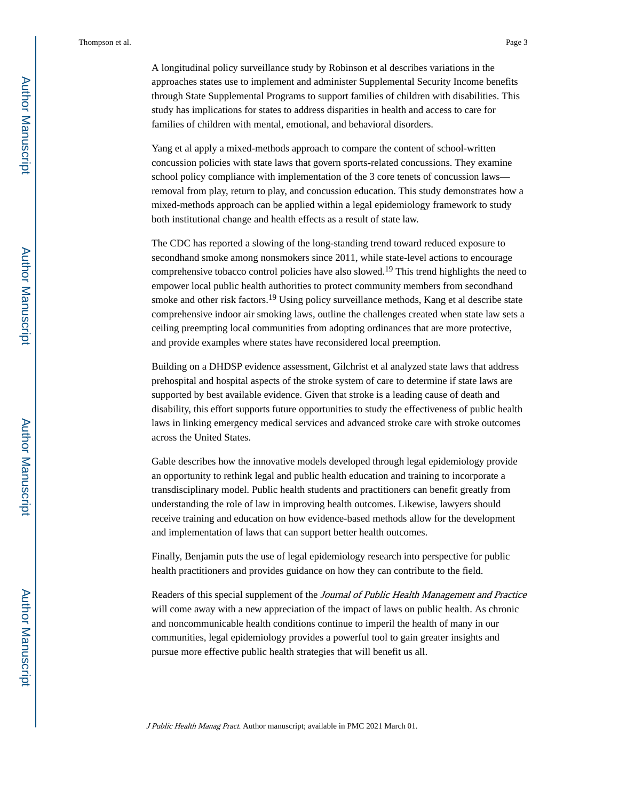A longitudinal policy surveillance study by Robinson et al describes variations in the approaches states use to implement and administer Supplemental Security Income benefits through State Supplemental Programs to support families of children with disabilities. This study has implications for states to address disparities in health and access to care for families of children with mental, emotional, and behavioral disorders.

Yang et al apply a mixed-methods approach to compare the content of school-written concussion policies with state laws that govern sports-related concussions. They examine school policy compliance with implementation of the 3 core tenets of concussion laws removal from play, return to play, and concussion education. This study demonstrates how a mixed-methods approach can be applied within a legal epidemiology framework to study both institutional change and health effects as a result of state law.

The CDC has reported a slowing of the long-standing trend toward reduced exposure to secondhand smoke among nonsmokers since 2011, while state-level actions to encourage comprehensive tobacco control policies have also slowed.<sup>19</sup> This trend highlights the need to empower local public health authorities to protect community members from secondhand smoke and other risk factors.<sup>19</sup> Using policy surveillance methods, Kang et al describe state comprehensive indoor air smoking laws, outline the challenges created when state law sets a ceiling preempting local communities from adopting ordinances that are more protective, and provide examples where states have reconsidered local preemption.

Building on a DHDSP evidence assessment, Gilchrist et al analyzed state laws that address prehospital and hospital aspects of the stroke system of care to determine if state laws are supported by best available evidence. Given that stroke is a leading cause of death and disability, this effort supports future opportunities to study the effectiveness of public health laws in linking emergency medical services and advanced stroke care with stroke outcomes across the United States.

Gable describes how the innovative models developed through legal epidemiology provide an opportunity to rethink legal and public health education and training to incorporate a transdisciplinary model. Public health students and practitioners can benefit greatly from understanding the role of law in improving health outcomes. Likewise, lawyers should receive training and education on how evidence-based methods allow for the development and implementation of laws that can support better health outcomes.

Finally, Benjamin puts the use of legal epidemiology research into perspective for public health practitioners and provides guidance on how they can contribute to the field.

Readers of this special supplement of the Journal of Public Health Management and Practice will come away with a new appreciation of the impact of laws on public health. As chronic and noncommunicable health conditions continue to imperil the health of many in our communities, legal epidemiology provides a powerful tool to gain greater insights and pursue more effective public health strategies that will benefit us all.

J Public Health Manag Pract. Author manuscript; available in PMC 2021 March 01.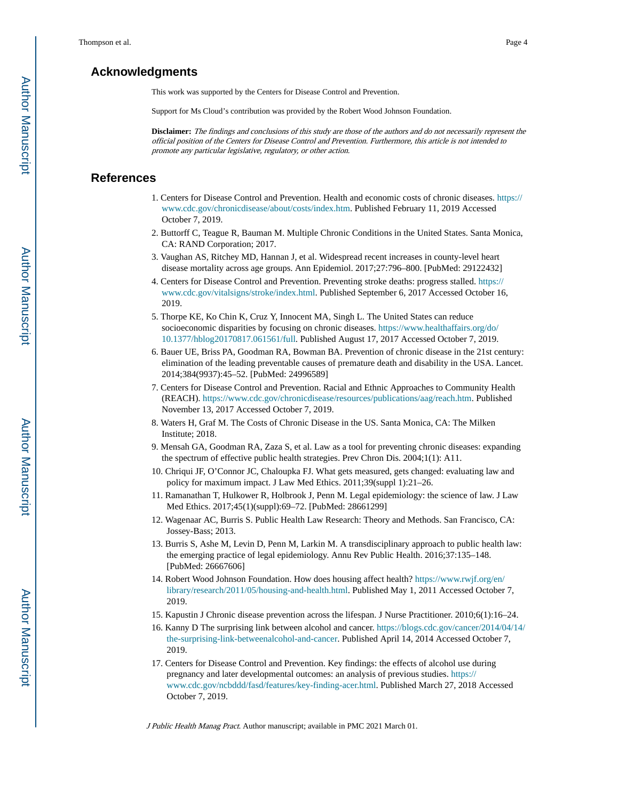### **Acknowledgments**

This work was supported by the Centers for Disease Control and Prevention.

Support for Ms Cloud's contribution was provided by the Robert Wood Johnson Foundation.

**Disclaimer:** The findings and conclusions of this study are those of the authors and do not necessarily represent the official position of the Centers for Disease Control and Prevention. Furthermore, this article is not intended to promote any particular legislative, regulatory, or other action.

# **References**

- 1. Centers for Disease Control and Prevention. Health and economic costs of chronic diseases. [https://](https://www.cdc.gov/chronicdisease/about/costs/index.htm) [www.cdc.gov/chronicdisease/about/costs/index.htm](https://www.cdc.gov/chronicdisease/about/costs/index.htm). Published February 11, 2019 Accessed October 7, 2019.
- 2. Buttorff C, Teague R, Bauman M. Multiple Chronic Conditions in the United States. Santa Monica, CA: RAND Corporation; 2017.
- 3. Vaughan AS, Ritchey MD, Hannan J, et al. Widespread recent increases in county-level heart disease mortality across age groups. Ann Epidemiol. 2017;27:796–800. [PubMed: 29122432]
- 4. Centers for Disease Control and Prevention. Preventing stroke deaths: progress stalled. [https://](https://www.cdc.gov/vitalsigns/stroke/index.html) [www.cdc.gov/vitalsigns/stroke/index.html.](https://www.cdc.gov/vitalsigns/stroke/index.html) Published September 6, 2017 Accessed October 16, 2019.
- 5. Thorpe KE, Ko Chin K, Cruz Y, Innocent MA, Singh L. The United States can reduce socioeconomic disparities by focusing on chronic diseases. [https://www.healthaffairs.org/do/](https://www.healthaffairs.org/do/10.1377/hblog20170817.061561/full) [10.1377/hblog20170817.061561/full.](https://www.healthaffairs.org/do/10.1377/hblog20170817.061561/full) Published August 17, 2017 Accessed October 7, 2019.
- 6. Bauer UE, Briss PA, Goodman RA, Bowman BA. Prevention of chronic disease in the 21st century: elimination of the leading preventable causes of premature death and disability in the USA. Lancet. 2014;384(9937):45–52. [PubMed: 24996589]
- 7. Centers for Disease Control and Prevention. Racial and Ethnic Approaches to Community Health (REACH). [https://www.cdc.gov/chronicdisease/resources/publications/aag/reach.htm.](https://www.cdc.gov/chronicdisease/resources/publications/aag/reach.htm) Published November 13, 2017 Accessed October 7, 2019.
- 8. Waters H, Graf M. The Costs of Chronic Disease in the US. Santa Monica, CA: The Milken Institute; 2018.
- 9. Mensah GA, Goodman RA, Zaza S, et al. Law as a tool for preventing chronic diseases: expanding the spectrum of effective public health strategies. Prev Chron Dis. 2004;1(1): A11.
- 10. Chriqui JF, O'Connor JC, Chaloupka FJ. What gets measured, gets changed: evaluating law and policy for maximum impact. J Law Med Ethics. 2011;39(suppl 1):21–26.
- 11. Ramanathan T, Hulkower R, Holbrook J, Penn M. Legal epidemiology: the science of law. J Law Med Ethics. 2017;45(1)(suppl):69–72. [PubMed: 28661299]
- 12. Wagenaar AC, Burris S. Public Health Law Research: Theory and Methods. San Francisco, CA: Jossey-Bass; 2013.
- 13. Burris S, Ashe M, Levin D, Penn M, Larkin M. A transdisciplinary approach to public health law: the emerging practice of legal epidemiology. Annu Rev Public Health. 2016;37:135–148. [PubMed: 26667606]
- 14. Robert Wood Johnson Foundation. How does housing affect health? [https://www.rwjf.org/en/](https://www.rwjf.org/en/library/research/2011/05/housing-and-health.html) [library/research/2011/05/housing-and-health.html](https://www.rwjf.org/en/library/research/2011/05/housing-and-health.html). Published May 1, 2011 Accessed October 7, 2019.
- 15. Kapustin J Chronic disease prevention across the lifespan. J Nurse Practitioner. 2010;6(1):16–24.
- 16. Kanny D The surprising link between alcohol and cancer. [https://blogs.cdc.gov/cancer/2014/04/14/](https://blogs.cdc.gov/cancer/2014/04/14/the-surprising-link-betweenalcohol-and-cancer) [the-surprising-link-betweenalcohol-and-cancer.](https://blogs.cdc.gov/cancer/2014/04/14/the-surprising-link-betweenalcohol-and-cancer) Published April 14, 2014 Accessed October 7, 2019.
- 17. Centers for Disease Control and Prevention. Key findings: the effects of alcohol use during pregnancy and later developmental outcomes: an analysis of previous studies. [https://](https://www.cdc.gov/ncbddd/fasd/features/key-finding-acer.html) [www.cdc.gov/ncbddd/fasd/features/key-finding-acer.html.](https://www.cdc.gov/ncbddd/fasd/features/key-finding-acer.html) Published March 27, 2018 Accessed October 7, 2019.

J Public Health Manag Pract. Author manuscript; available in PMC 2021 March 01.